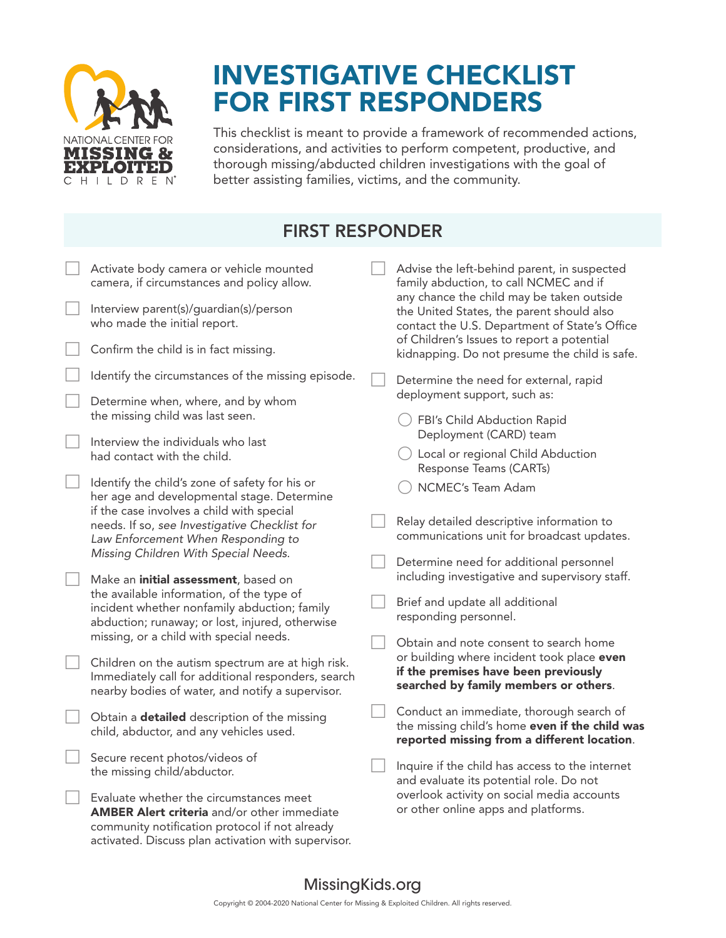

## INVESTIGATIVE CHECKLIST FOR FIRST RESPONDERS

This checklist is meant to provide a framework of recommended actions, considerations, and activities to perform competent, productive, and thorough missing/abducted children investigations with the goal of better assisting families, victims, and the community.

| <b>FIRST RESPONDER</b> |                                                                                                                                                                                                        |  |                                                                                                                                                                                                                                        |  |  |  |  |
|------------------------|--------------------------------------------------------------------------------------------------------------------------------------------------------------------------------------------------------|--|----------------------------------------------------------------------------------------------------------------------------------------------------------------------------------------------------------------------------------------|--|--|--|--|
|                        | Activate body camera or vehicle mounted<br>camera, if circumstances and policy allow.                                                                                                                  |  | Advise the left-behind parent, in suspected<br>family abduction, to call NCMEC and if                                                                                                                                                  |  |  |  |  |
|                        | Interview parent(s)/guardian(s)/person<br>who made the initial report.                                                                                                                                 |  | any chance the child may be taken outside<br>the United States, the parent should also<br>contact the U.S. Department of State's Office<br>of Children's Issues to report a potential<br>kidnapping. Do not presume the child is safe. |  |  |  |  |
|                        | Confirm the child is in fact missing.                                                                                                                                                                  |  |                                                                                                                                                                                                                                        |  |  |  |  |
|                        | Identify the circumstances of the missing episode.                                                                                                                                                     |  | Determine the need for external, rapid                                                                                                                                                                                                 |  |  |  |  |
|                        | Determine when, where, and by whom<br>the missing child was last seen.                                                                                                                                 |  | deployment support, such as:<br>FBI's Child Abduction Rapid                                                                                                                                                                            |  |  |  |  |
|                        | Interview the individuals who last<br>had contact with the child.                                                                                                                                      |  | Deployment (CARD) team<br>Local or regional Child Abduction<br>Response Teams (CARTs)                                                                                                                                                  |  |  |  |  |
|                        | Identify the child's zone of safety for his or<br>her age and developmental stage. Determine                                                                                                           |  | NCMEC's Team Adam                                                                                                                                                                                                                      |  |  |  |  |
|                        | if the case involves a child with special<br>needs. If so, see Investigative Checklist for<br>Law Enforcement When Responding to                                                                       |  | Relay detailed descriptive information to<br>communications unit for broadcast updates.                                                                                                                                                |  |  |  |  |
|                        | Missing Children With Special Needs.<br>Make an <i>initial</i> assessment, based on                                                                                                                    |  | Determine need for additional personnel<br>including investigative and supervisory staff.                                                                                                                                              |  |  |  |  |
|                        | the available information, of the type of<br>incident whether nonfamily abduction; family<br>abduction; runaway; or lost, injured, otherwise                                                           |  | Brief and update all additional<br>responding personnel.                                                                                                                                                                               |  |  |  |  |
|                        | missing, or a child with special needs.                                                                                                                                                                |  | Obtain and note consent to search home<br>or building where incident took place even<br>if the premises have been previously<br>searched by family members or others.                                                                  |  |  |  |  |
|                        | Children on the autism spectrum are at high risk.<br>Immediately call for additional responders, search<br>nearby bodies of water, and notify a supervisor.                                            |  |                                                                                                                                                                                                                                        |  |  |  |  |
|                        | Obtain a <b>detailed</b> description of the missing<br>child, abductor, and any vehicles used.                                                                                                         |  | Conduct an immediate, thorough search of<br>the missing child's home even if the child was<br>reported missing from a different location.                                                                                              |  |  |  |  |
|                        | Secure recent photos/videos of<br>the missing child/abductor.                                                                                                                                          |  | Inquire if the child has access to the internet<br>and evaluate its potential role. Do not<br>overlook activity on social media accounts<br>or other online apps and platforms.                                                        |  |  |  |  |
|                        | Evaluate whether the circumstances meet<br><b>AMBER Alert criteria</b> and/or other immediate<br>community notification protocol if not already<br>activated. Discuss plan activation with supervisor. |  |                                                                                                                                                                                                                                        |  |  |  |  |

## MissingKids.org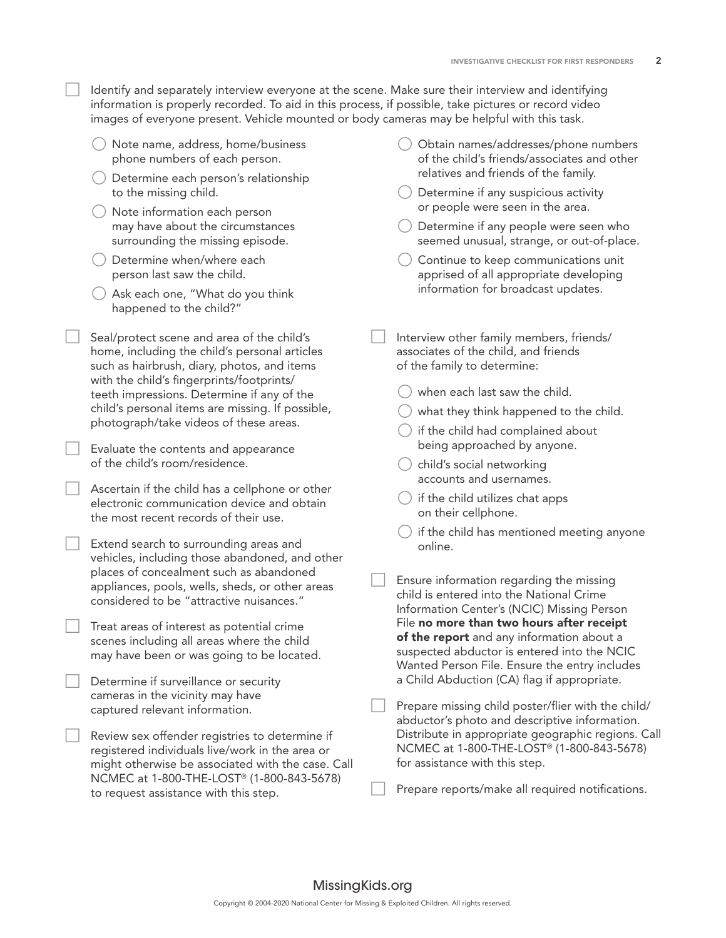Identify and separately interview everyone at the scene. Make sure their interview and identifying information is properly recorded. To aid in this process, if possible, take pictures or record video images of everyone present. Vehicle mounted or body cameras may be helpful with this task.

- { Note name, address, home/business phone numbers of each person.
- ${\bigcirc}$  Determine each person's relationship to the missing child.
- { Note information each person may have about the circumstances surrounding the missing episode.
- Determine when/where each person last saw the child.
- ${\bigcirc}$  Ask each one, "What do you think happened to the child?"
- Seal/protect scene and area of the child's home, including the child's personal articles such as hairbrush, diary, photos, and items with the child's fingerprints/footprints/ teeth impressions. Determine if any of the child's personal items are missing. If possible, photograph/take videos of these areas.

 Evaluate the contents and appearance of the child's room/residence.

 Ascertain if the child has a cellphone or other electronic communication device and obtain the most recent records of their use.

 Extend search to surrounding areas and vehicles, including those abandoned, and other places of concealment such as abandoned appliances, pools, wells, sheds, or other areas considered to be "attractive nuisances."

 Treat areas of interest as potential crime scenes including all areas where the child may have been or was going to be located.

 Determine if surveillance or security cameras in the vicinity may have captured relevant information.

 Review sex offender registries to determine if registered individuals live/work in the area or might otherwise be associated with the case. Call NCMEC at 1-800-THE-LOST® (1-800-843-5678) to request assistance with this step.

- { Obtain names/addresses/phone numbers of the child's friends/associates and other relatives and friends of the family.
- $\bigcirc$  Determine if any suspicious activity or people were seen in the area.
- ${\bigcirc}$  Determine if any people were seen who seemed unusual, strange, or out-of-place.
- Continue to keep communications unit apprised of all appropriate developing information for broadcast updates.
- Interview other family members, friends/ associates of the child, and friends of the family to determine:
	- $\bigcirc$  when each last saw the child.
	- $\bigcirc$  what they think happened to the child.
	- $\bigcirc$  if the child had complained about being approached by anyone.
	- $\bigcirc$  child's social networking accounts and usernames.
	- $\bigcirc$  if the child utilizes chat apps on their cellphone.
	- $\bigcirc$  if the child has mentioned meeting anyone online.

 Ensure information regarding the missing child is entered into the National Crime Information Center's (NCIC) Missing Person File no more than two hours after receipt of the report and any information about a suspected abductor is entered into the NCIC Wanted Person File. Ensure the entry includes a Child Abduction (CA) flag if appropriate.

 Prepare missing child poster/flier with the child/ abductor's photo and descriptive information. Distribute in appropriate geographic regions. Call NCMEC at 1-800-THE-LOST® (1-800-843-5678) for assistance with this step.

Prepare reports/make all required notifications.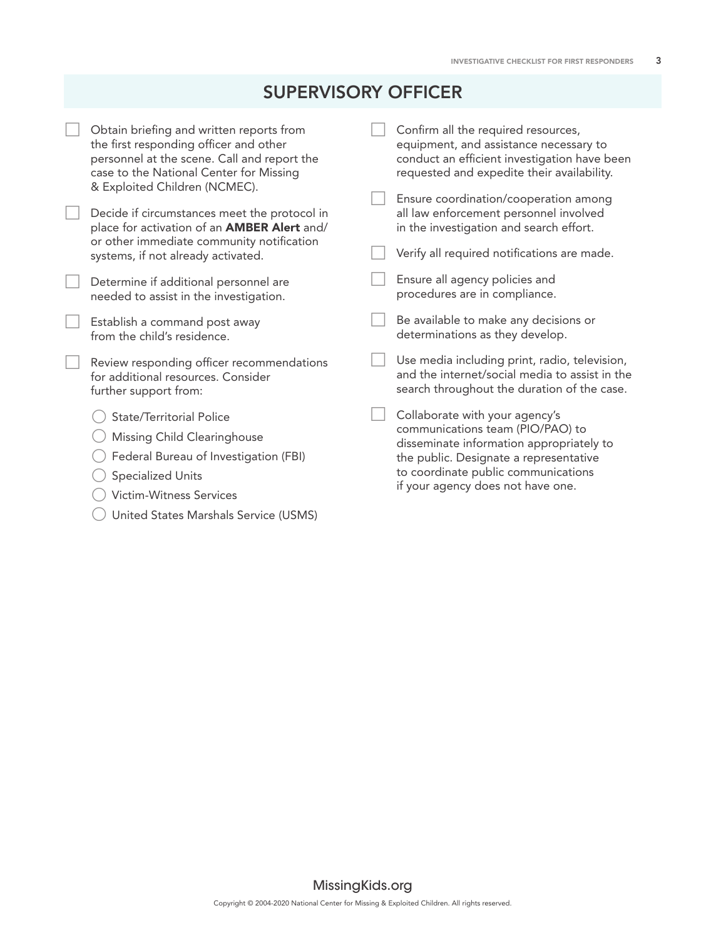## SUPERVISORY OFFICER

| Obtain briefing and written reports from<br>the first responding officer and other<br>personnel at the scene. Call and report the<br>case to the National Center for Missing<br>& Exploited Children (NCMEC). | Confirm all the required resources,<br>equipment, and assistance necessary to<br>conduct an efficient investigation have been<br>requested and expedite their availability.                                                          |
|---------------------------------------------------------------------------------------------------------------------------------------------------------------------------------------------------------------|--------------------------------------------------------------------------------------------------------------------------------------------------------------------------------------------------------------------------------------|
| Decide if circumstances meet the protocol in<br>place for activation of an <b>AMBER Alert</b> and/<br>or other immediate community notification<br>systems, if not already activated.                         | Ensure coordination/cooperation among<br>all law enforcement personnel involved<br>in the investigation and search effort.<br>Verify all required notifications are made.                                                            |
| Determine if additional personnel are<br>needed to assist in the investigation.                                                                                                                               | Ensure all agency policies and<br>procedures are in compliance.                                                                                                                                                                      |
| Establish a command post away<br>from the child's residence.                                                                                                                                                  | Be available to make any decisions or<br>determinations as they develop.                                                                                                                                                             |
| Review responding officer recommendations<br>for additional resources. Consider<br>further support from:                                                                                                      | Use media including print, radio, television,<br>and the internet/social media to assist in the<br>search throughout the duration of the case.                                                                                       |
| <b>State/Territorial Police</b><br>Missing Child Clearinghouse<br>Federal Bureau of Investigation (FBI)<br><b>Specialized Units</b><br><b>Victim-Witness Services</b>                                         | Collaborate with your agency's<br>communications team (PIO/PAO) to<br>disseminate information appropriately to<br>the public. Designate a representative<br>to coordinate public communications<br>if your agency does not have one. |

{ United States Marshals Service (USMS)